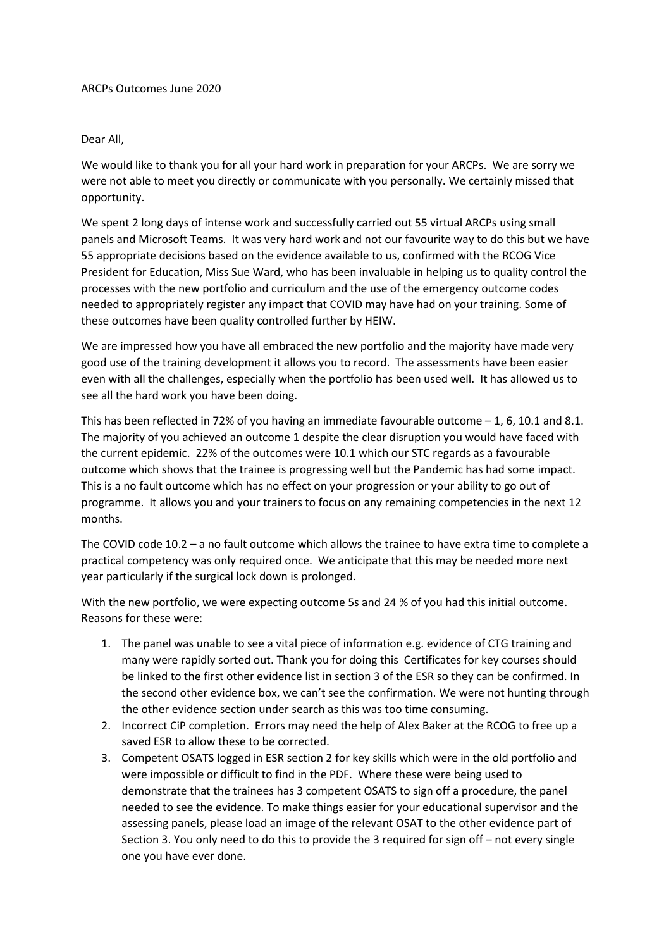## Dear All,

We would like to thank you for all your hard work in preparation for your ARCPs. We are sorry we were not able to meet you directly or communicate with you personally. We certainly missed that opportunity.

We spent 2 long days of intense work and successfully carried out 55 virtual ARCPs using small panels and Microsoft Teams. It was very hard work and not our favourite way to do this but we have 55 appropriate decisions based on the evidence available to us, confirmed with the RCOG Vice President for Education, Miss Sue Ward, who has been invaluable in helping us to quality control the processes with the new portfolio and curriculum and the use of the emergency outcome codes needed to appropriately register any impact that COVID may have had on your training. Some of these outcomes have been quality controlled further by HEIW.

We are impressed how you have all embraced the new portfolio and the majority have made very good use of the training development it allows you to record. The assessments have been easier even with all the challenges, especially when the portfolio has been used well. It has allowed us to see all the hard work you have been doing.

This has been reflected in 72% of you having an immediate favourable outcome – 1, 6, 10.1 and 8.1. The majority of you achieved an outcome 1 despite the clear disruption you would have faced with the current epidemic. 22% of the outcomes were 10.1 which our STC regards as a favourable outcome which shows that the trainee is progressing well but the Pandemic has had some impact. This is a no fault outcome which has no effect on your progression or your ability to go out of programme. It allows you and your trainers to focus on any remaining competencies in the next 12 months.

The COVID code 10.2 – a no fault outcome which allows the trainee to have extra time to complete a practical competency was only required once. We anticipate that this may be needed more next year particularly if the surgical lock down is prolonged.

With the new portfolio, we were expecting outcome 5s and 24 % of you had this initial outcome. Reasons for these were:

- 1. The panel was unable to see a vital piece of information e.g. evidence of CTG training and many were rapidly sorted out. Thank you for doing this Certificates for key courses should be linked to the first other evidence list in section 3 of the ESR so they can be confirmed. In the second other evidence box, we can't see the confirmation. We were not hunting through the other evidence section under search as this was too time consuming.
- 2. Incorrect CiP completion. Errors may need the help of Alex Baker at the RCOG to free up a saved ESR to allow these to be corrected.
- 3. Competent OSATS logged in ESR section 2 for key skills which were in the old portfolio and were impossible or difficult to find in the PDF. Where these were being used to demonstrate that the trainees has 3 competent OSATS to sign off a procedure, the panel needed to see the evidence. To make things easier for your educational supervisor and the assessing panels, please load an image of the relevant OSAT to the other evidence part of Section 3. You only need to do this to provide the 3 required for sign off – not every single one you have ever done.